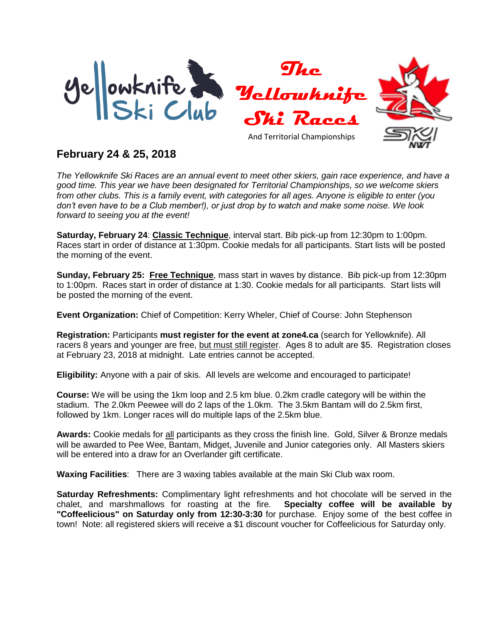

## **February 24 & 25, 2018**

*The Yellowknife Ski Races are an annual event to meet other skiers, gain race experience, and have a good time. This year we have been designated for Territorial Championships, so we welcome skiers from other clubs. This is a family event, with categories for all ages. Anyone is eligible to enter (you don't even have to be a Club member!), or just drop by to watch and make some noise. We look forward to seeing you at the event!*

**Saturday, February 24**: **Classic Technique**, interval start. Bib pick-up from 12:30pm to 1:00pm. Races start in order of distance at 1:30pm. Cookie medals for all participants. Start lists will be posted the morning of the event.

**Sunday, February 25: Free Technique**, mass start in waves by distance. Bib pick-up from 12:30pm to 1:00pm. Races start in order of distance at 1:30. Cookie medals for all participants. Start lists will be posted the morning of the event.

**Event Organization:** Chief of Competition: Kerry Wheler, Chief of Course: John Stephenson

**Registration:** Participants **must register for the event at zone4.ca** (search for Yellowknife). All racers 8 years and younger are free, but must still register. Ages 8 to adult are \$5. Registration closes at February 23, 2018 at midnight. Late entries cannot be accepted.

**Eligibility:** Anyone with a pair of skis. All levels are welcome and encouraged to participate!

**Course:** We will be using the 1km loop and 2.5 km blue. 0.2km cradle category will be within the stadium. The 2.0km Peewee will do 2 laps of the 1.0km. The 3.5km Bantam will do 2.5km first, followed by 1km. Longer races will do multiple laps of the 2.5km blue.

**Awards:** Cookie medals for all participants as they cross the finish line. Gold, Silver & Bronze medals will be awarded to Pee Wee, Bantam, Midget, Juvenile and Junior categories only. All Masters skiers will be entered into a draw for an Overlander gift certificate.

**Waxing Facilities**: There are 3 waxing tables available at the main Ski Club wax room.

**Saturday Refreshments:** Complimentary light refreshments and hot chocolate will be served in the chalet, and marshmallows for roasting at the fire. **Specialty coffee will be available by "Coffeelicious" on Saturday only from 12:30-3:30** for purchase. Enjoy some of the best coffee in town! Note: all registered skiers will receive a \$1 discount voucher for Coffeelicious for Saturday only.